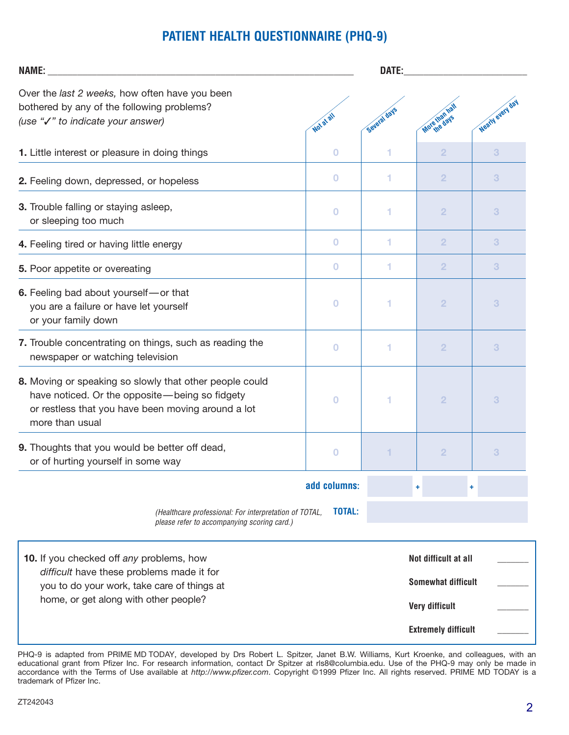# **PATIENT HEALTH QUESTIONNAIRE (PHQ-9)**

| <b>NAME:</b>                                                                                                                                                                       |                | DATE:        |                                                                                                          |                  |  |
|------------------------------------------------------------------------------------------------------------------------------------------------------------------------------------|----------------|--------------|----------------------------------------------------------------------------------------------------------|------------------|--|
| Over the last 2 weeks, how often have you been<br>bothered by any of the following problems?<br>(use "√" to indicate your answer)                                                  | Not at all     | Several days | More than I's                                                                                            | Nearly every day |  |
| 1. Little interest or pleasure in doing things                                                                                                                                     | $\bf{O}$       |              | $\overline{2}$                                                                                           | 3                |  |
| 2. Feeling down, depressed, or hopeless                                                                                                                                            | $\bf{0}$       | 1            | $\overline{2}$                                                                                           | 3                |  |
| 3. Trouble falling or staying asleep,<br>or sleeping too much                                                                                                                      | $\bf{0}$       | 1            | $\overline{2}$                                                                                           | 3                |  |
| 4. Feeling tired or having little energy                                                                                                                                           | $\bf{0}$       | 1            | $\overline{2}$                                                                                           | 3                |  |
| 5. Poor appetite or overeating                                                                                                                                                     | $\bf{0}$       | 1            | $\overline{2}$                                                                                           | 3                |  |
| 6. Feeling bad about yourself-or that<br>you are a failure or have let yourself<br>or your family down                                                                             | $\bf{0}$       | 1            | $\overline{2}$                                                                                           | 3                |  |
| 7. Trouble concentrating on things, such as reading the<br>newspaper or watching television                                                                                        | $\bf{0}$       | 1            | $\overline{2}$                                                                                           | 3                |  |
| 8. Moving or speaking so slowly that other people could<br>have noticed. Or the opposite-being so fidgety<br>or restless that you have been moving around a lot<br>more than usual | $\bf{O}$       |              | $\overline{2}$                                                                                           | 3                |  |
| 9. Thoughts that you would be better off dead,<br>or of hurting yourself in some way                                                                                               | $\overline{0}$ |              | $\overline{2}$                                                                                           | 3                |  |
|                                                                                                                                                                                    | add columns:   |              | ۰                                                                                                        |                  |  |
| (Healthcare professional: For interpretation of TOTAL,<br>please refer to accompanying scoring card.)                                                                              | TOTAL:         |              |                                                                                                          |                  |  |
| 10. If you checked off any problems, how<br>difficult have these problems made it for<br>you to do your work, take care of things at<br>home, or get along with other people?      |                |              | Not difficult at all<br><b>Somewhat difficult</b><br><b>Very difficult</b><br><b>Extremely difficult</b> |                  |  |

PHQ-9 is adapted from PRIME MD TODAY, developed by Drs Robert L. Spitzer, Janet B.W. Williams, Kurt Kroenke, and colleagues, with an educational grant from Pfizer Inc. For research information, contact Dr Spitzer at rls8@columbia.edu. Use of the PHQ-9 may only be made in accordance with the Terms of Use available at http://www.pfizer.com. Copyright ©1999 Pfizer Inc. All rights reserved. PRIME MD TODAY is a trademark of Pfizer Inc.